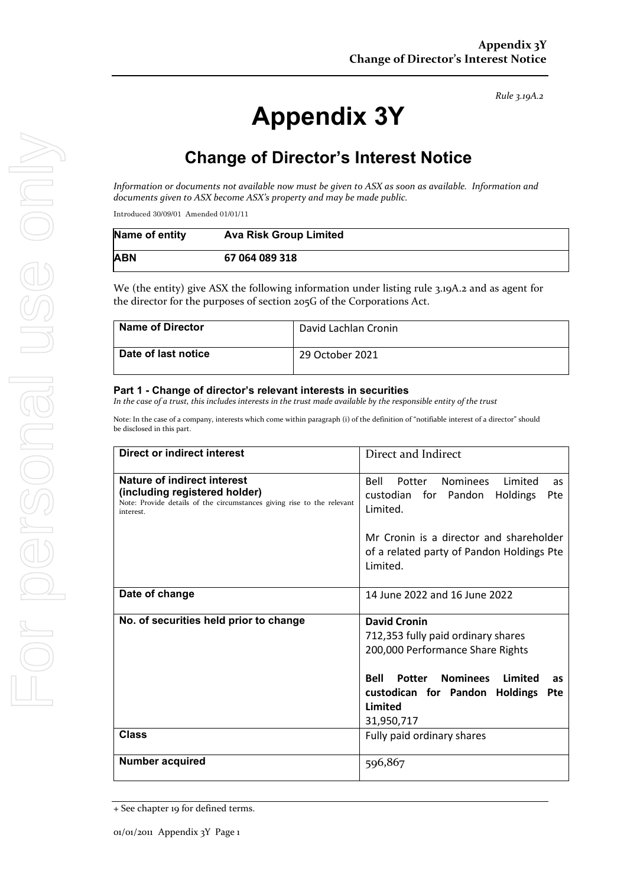# **Appendix 3Y**

# **Change of Director's Interest Notice**

*Information or documents not available now must be given to ASX as soon as available. Information and documents given to ASX become ASX's property and may be made public.*

Introduced 30/09/01 Amended 01/01/11

| Name of entity | <b>Ava Risk Group Limited</b> |
|----------------|-------------------------------|
| ABN            | 67 064 089 318                |

We (the entity) give ASX the following information under listing rule 3.19A.2 and as agent for the director for the purposes of section 205G of the Corporations Act.

| <b>Name of Director</b> | David Lachlan Cronin |
|-------------------------|----------------------|
| Date of last notice     | 29 October 2021      |

#### **Part 1 - Change of director's relevant interests in securities**

*In the case of a trust, this includes interests in the trust made available by the responsible entity of the trust*

Note: In the case of a company, interests which come within paragraph (i) of the definition of "notifiable interest of a director" should be disclosed in this part.

| <b>Direct or indirect interest</b>                                                                                                                  | Direct and Indirect                                                                                                                                                                                                                                  |  |
|-----------------------------------------------------------------------------------------------------------------------------------------------------|------------------------------------------------------------------------------------------------------------------------------------------------------------------------------------------------------------------------------------------------------|--|
| Nature of indirect interest<br>(including registered holder)<br>Note: Provide details of the circumstances giving rise to the relevant<br>interest. | <b>Nominees</b><br>Bell<br>Potter<br>Limited<br>as<br>Pte<br>custodian for Pandon Holdings<br>Limited.                                                                                                                                               |  |
|                                                                                                                                                     | Mr Cronin is a director and shareholder<br>of a related party of Pandon Holdings Pte<br>Limited.                                                                                                                                                     |  |
| Date of change                                                                                                                                      | 14 June 2022 and 16 June 2022                                                                                                                                                                                                                        |  |
| No. of securities held prior to change                                                                                                              | <b>David Cronin</b><br>712,353 fully paid ordinary shares<br>200,000 Performance Share Rights<br>Potter<br><b>Nominees</b><br>Limited<br><b>Bell</b><br><b>as</b><br>custodican for Pandon<br><b>Holdings</b><br><b>Pte</b><br>Limited<br>31,950,717 |  |
| <b>Class</b>                                                                                                                                        | Fully paid ordinary shares                                                                                                                                                                                                                           |  |
| <b>Number acquired</b>                                                                                                                              | 596,867                                                                                                                                                                                                                                              |  |

<sup>+</sup> See chapter 19 for defined terms.

*Rule 3.19A.2*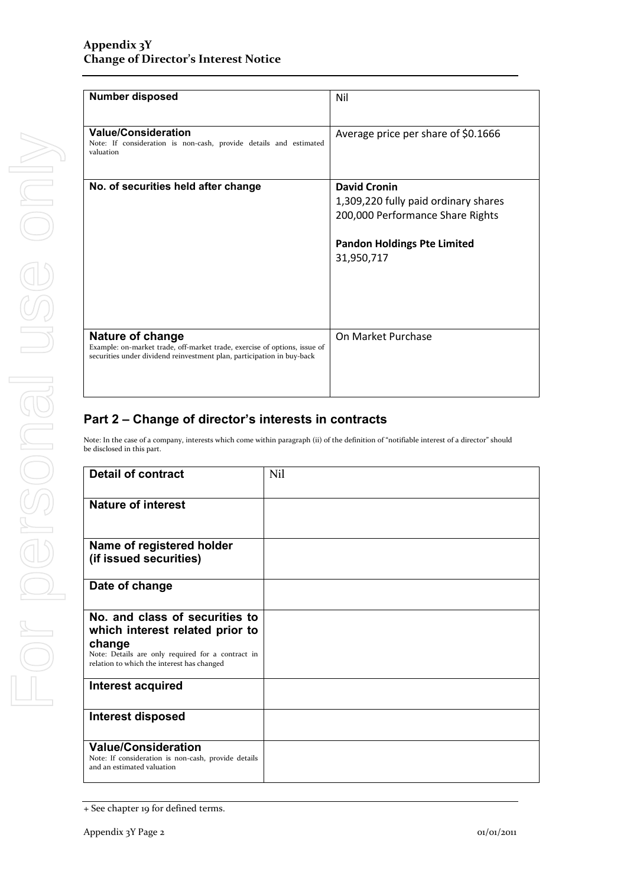| <b>Number disposed</b>                                                                                                                                                  | Nil                                  |
|-------------------------------------------------------------------------------------------------------------------------------------------------------------------------|--------------------------------------|
| <b>Value/Consideration</b><br>Note: If consideration is non-cash, provide details and estimated<br>valuation                                                            | Average price per share of \$0.1666  |
| No. of securities held after change                                                                                                                                     | <b>David Cronin</b>                  |
|                                                                                                                                                                         | 1,309,220 fully paid ordinary shares |
|                                                                                                                                                                         | 200,000 Performance Share Rights     |
|                                                                                                                                                                         | <b>Pandon Holdings Pte Limited</b>   |
|                                                                                                                                                                         | 31,950,717                           |
|                                                                                                                                                                         |                                      |
|                                                                                                                                                                         |                                      |
| Nature of change<br>Example: on-market trade, off-market trade, exercise of options, issue of<br>securities under dividend reinvestment plan, participation in buy-back | On Market Purchase                   |
|                                                                                                                                                                         |                                      |

## **Part 2 – Change of director's interests in contracts**

Note: In the case of a company, interests which come within paragraph (ii) of the definition of "notifiable interest of a director" should be disclosed in this part.

| <b>Detail of contract</b>                                                                                                                                                      | Nil |
|--------------------------------------------------------------------------------------------------------------------------------------------------------------------------------|-----|
| <b>Nature of interest</b>                                                                                                                                                      |     |
| Name of registered holder<br>(if issued securities)                                                                                                                            |     |
| Date of change                                                                                                                                                                 |     |
| No. and class of securities to<br>which interest related prior to<br>change<br>Note: Details are only required for a contract in<br>relation to which the interest has changed |     |
| <b>Interest acquired</b>                                                                                                                                                       |     |
| Interest disposed                                                                                                                                                              |     |
| <b>Value/Consideration</b><br>Note: If consideration is non-cash, provide details<br>and an estimated valuation                                                                |     |

<sup>+</sup> See chapter 19 for defined terms.